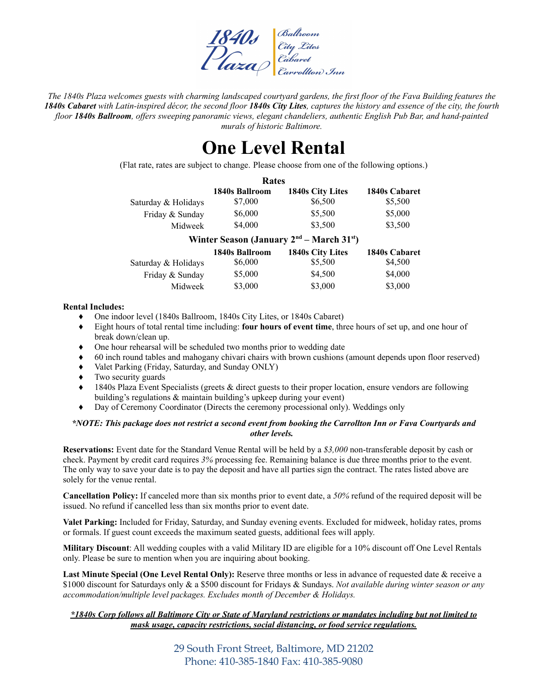

The 1840s Plaza welcomes guests with charming landscaped courtyard gardens, the first floor of the Fava Building features the 1840s Cabaret with Latin-inspired décor, the second floor 1840s City Lites, captures the history and essence of the city, the fourth floor 1840s Ballroom, offers sweeping panoramic views, elegant chandeliers, authentic English Pub Bar, and hand-painted *murals of historic Baltimore.*

### **One Level Rental**

(Flat rate, rates are subject to change. Please choose from one of the following options.)

|                     | Rates          |                         |               |
|---------------------|----------------|-------------------------|---------------|
|                     | 1840s Ballroom | <b>1840s City Lites</b> | 1840s Cabaret |
| Saturday & Holidays | \$7,000        | \$6,500                 | \$5,500       |
| Friday & Sunday     | \$6,000        | \$5,500                 | \$5,000       |
| Midweek             | \$4,000        | \$3,500                 | \$3,500       |
|                     |                | <b>And</b>              |               |

| Winter Season (January $2nd$ – March 31 <sup>st</sup> ) |                |                         |               |
|---------------------------------------------------------|----------------|-------------------------|---------------|
|                                                         | 1840s Ballroom | <b>1840s City Lites</b> | 1840s Cabaret |
| Saturday & Holidays                                     | \$6,000        | \$5,500                 | \$4,500       |
| Friday & Sunday                                         | \$5,000        | \$4,500                 | \$4,000       |
| Midweek                                                 | \$3,000        | \$3,000                 | \$3,000       |

#### **Rental Includes:**

- ♦ One indoor level (1840s Ballroom, 1840s City Lites, or 1840s Cabaret)
- ♦ Eight hours of total rental time including: **four hours of event time**, three hours of set up, and one hour of break down/clean up.
- ♦ One hour rehearsal will be scheduled two months prior to wedding date
- ♦ 60 inch round tables and mahogany chivari chairs with brown cushions (amount depends upon floor reserved)
- Valet Parking (Friday, Saturday, and Sunday ONLY)
- ♦ Two security guards
- 1840s Plaza Event Specialists (greets & direct guests to their proper location, ensure vendors are following building's regulations & maintain building's upkeep during your event)
- Day of Ceremony Coordinator (Directs the ceremony processional only). Weddings only

#### \*NOTE: This package does not restrict a second event from booking the Carrollton Inn or Fava Courtyards and *other levels.*

**Reservations:** Event date for the Standard Venue Rental will be held by a *\$3,000* non-transferable deposit by cash or check. Payment by credit card requires *3%* processing fee. Remaining balance is due three months prior to the event. The only way to save your date is to pay the deposit and have all parties sign the contract. The rates listed above are solely for the venue rental.

**Cancellation Policy:** If canceled more than six months prior to event date, a *50%* refund of the required deposit will be issued. No refund if cancelled less than six months prior to event date.

**Valet Parking:** Included for Friday, Saturday, and Sunday evening events. Excluded for midweek, holiday rates, proms or formals. If guest count exceeds the maximum seated guests, additional fees will apply.

**Military Discount**: All wedding couples with a valid Military ID are eligible for a 10% discount off One Level Rentals only. Please be sure to mention when you are inquiring about booking.

**Last Minute Special (One Level Rental Only):** Reserve three months or less in advance of requested date & receive a \$1000 discount for Saturdays only & a \$500 discount for Fridays & Sundays. *Not available during winter season or any accommodation/multiple level packages. Excludes month of December & Holidays.*

#### \*1840s Corp follows all Baltimore City or State of Maryland restrictions or mandates including but not limited to *mask usage, capacity restrictions, social distancing, or food service regulations.*

29 South Front Street, Baltimore, MD 21202 Phone: 410-385-1840 Fax: 410-385-9080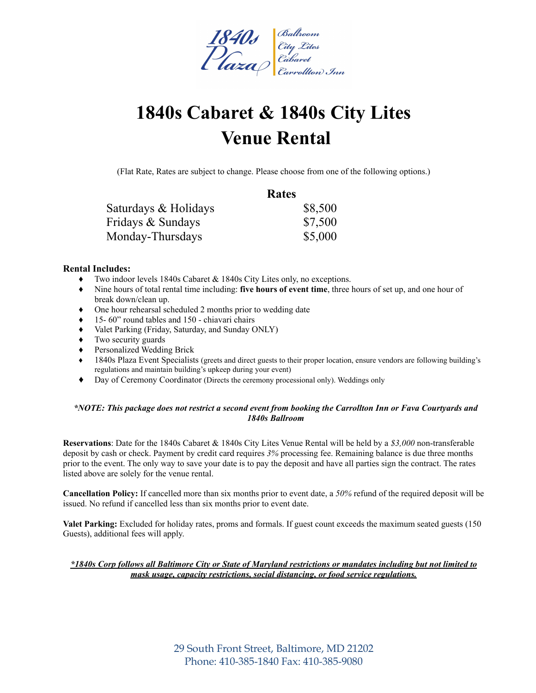

# **1840s Cabaret & 1840s City Lites Venue Rental**

(Flat Rate, Rates are subject to change. Please choose from one of the following options.)

|                      | Rates   |
|----------------------|---------|
| Saturdays & Holidays | \$8,500 |
| Fridays & Sundays    | \$7,500 |
| Monday-Thursdays     | \$5,000 |

#### **Rental Includes:**

- Two indoor levels 1840s Cabaret  $&$  1840s City Lites only, no exceptions.
- ♦ Nine hours of total rental time including: **five hours of event time**, three hours of set up, and one hour of break down/clean up.
- ♦ One hour rehearsal scheduled 2 months prior to wedding date
- ♦ 15- 60" round tables and 150 chiavari chairs
- ♦ Valet Parking (Friday, Saturday, and Sunday ONLY)
- Two security guards
- ♦ Personalized Wedding Brick
- 1840s Plaza Event Specialists (greets and direct guests to their proper location, ensure vendors are following building's regulations and maintain building's upkeep during your event)
- ♦ Day of Ceremony Coordinator (Directs the ceremony processional only). Weddings only

#### \*NOTE: This package does not restrict a second event from booking the Carrollton Inn or Fava Courtyards and *1840s Ballroom*

**Reservations**: Date for the 1840s Cabaret & 1840s City Lites Venue Rental will be held by a *\$3,000* non-transferable deposit by cash or check. Payment by credit card requires *3%* processing fee. Remaining balance is due three months prior to the event. The only way to save your date is to pay the deposit and have all parties sign the contract. The rates listed above are solely for the venue rental.

**Cancellation Policy:** If cancelled more than six months prior to event date, a *50%* refund of the required deposit will be issued. No refund if cancelled less than six months prior to event date.

**Valet Parking:** Excluded for holiday rates, proms and formals. If guest count exceeds the maximum seated guests (150 Guests), additional fees will apply.

#### \*1840s Corp follows all Baltimore City or State of Maryland restrictions or mandates including but not limited to *mask usage, capacity restrictions, social distancing, or food service regulations.*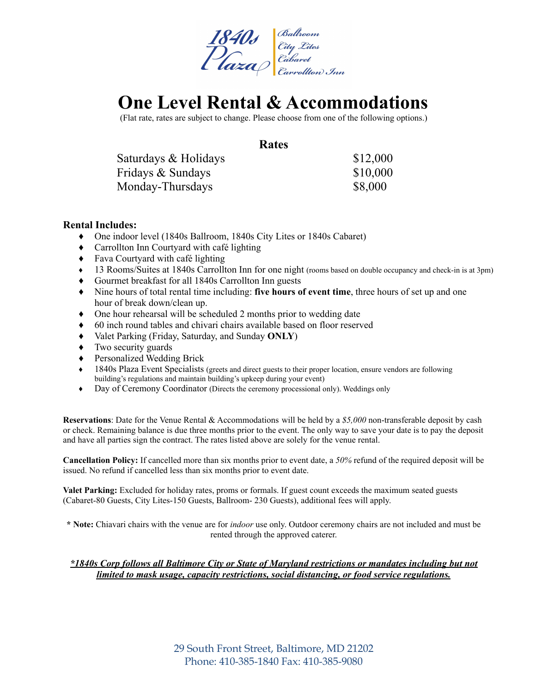

### **One Level Rental & Accommodations**

(Flat rate, rates are subject to change. Please choose from one of the following options.)

#### **Rates**

| Saturdays & Holidays | \$12,000 |
|----------------------|----------|
| Fridays & Sundays    | \$10,000 |
| Monday-Thursdays     | \$8,000  |

#### **Rental Includes:**

- ♦ One indoor level (1840s Ballroom, 1840s City Lites or 1840s Cabaret)
- ♦ Carrollton Inn Courtyard with café lighting
- ♦ Fava Courtyard with café lighting
- ♦ 13 Rooms/Suites at 1840s Carrollton Inn for one night (rooms based on double occupancy and check-in is at 3pm)
- ♦ Gourmet breakfast for all 1840s Carrollton Inn guests
- ♦ Nine hours of total rental time including: **five hours of event time**, three hours of set up and one hour of break down/clean up.
- ♦ One hour rehearsal will be scheduled 2 months prior to wedding date
- ♦ 60 inch round tables and chivari chairs available based on floor reserved
- ♦ Valet Parking (Friday, Saturday, and Sunday **ONLY**)
- ♦ Two security guards
- ♦ Personalized Wedding Brick
- ♦ 1840s Plaza Event Specialists (greets and direct guests to their proper location, ensure vendors are following building's regulations and maintain building's upkeep during your event)
- ♦ Day of Ceremony Coordinator (Directs the ceremony processional only). Weddings only

**Reservations**: Date for the Venue Rental & Accommodations will be held by a *\$5,000* non-transferable deposit by cash or check. Remaining balance is due three months prior to the event. The only way to save your date is to pay the deposit and have all parties sign the contract. The rates listed above are solely for the venue rental.

**Cancellation Policy:** If cancelled more than six months prior to event date, a *50%* refund of the required deposit will be issued. No refund if cancelled less than six months prior to event date.

**Valet Parking:** Excluded for holiday rates, proms or formals. If guest count exceeds the maximum seated guests (Cabaret-80 Guests, City Lites-150 Guests, Ballroom- 230 Guests), additional fees will apply.

**\* Note:** Chiavari chairs with the venue are for *indoor* use only. Outdoor ceremony chairs are not included and must be rented through the approved caterer.

#### *\*1840s Corp follows all Baltimore City or State of Maryland restrictions or mandates including but not limited to mask usage, capacity restrictions, social distancing, or food service regulations.*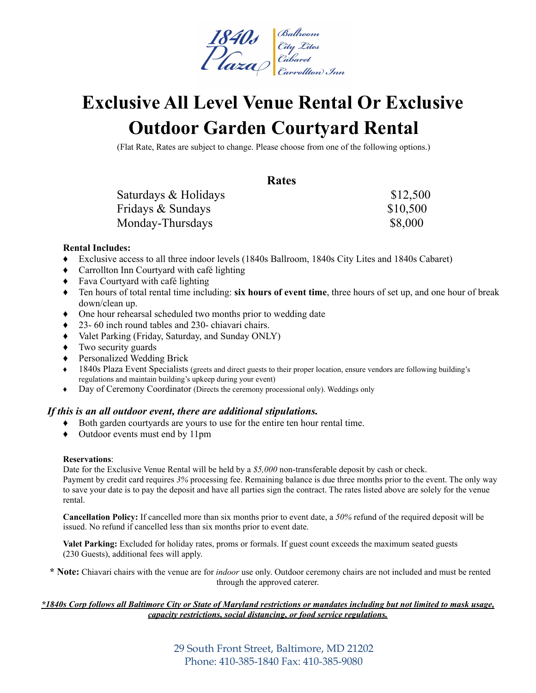

## **Exclusive All Level Venue Rental Or Exclusive Outdoor Garden Courtyard Rental**

(Flat Rate, Rates are subject to change. Please choose from one of the following options.)

#### **Rates**

Saturdays & Holidays  $$12,500$ Fridays & Sundays  $$10,500$ Monday-Thursdays \$8,000

#### **Rental Includes:**

- ♦ Exclusive access to all three indoor levels (1840s Ballroom, 1840s City Lites and 1840s Cabaret)
- ♦ Carrollton Inn Courtyard with café lighting
- ♦ Fava Courtyard with café lighting
- ♦ Ten hours of total rental time including: **six hours of event time**, three hours of set up, and one hour of break down/clean up.
- ♦ One hour rehearsal scheduled two months prior to wedding date
- ♦ 23- 60 inch round tables and 230- chiavari chairs.
- ♦ Valet Parking (Friday, Saturday, and Sunday ONLY)
- ♦ Two security guards
- ♦ Personalized Wedding Brick
- 1840s Plaza Event Specialists (greets and direct guests to their proper location, ensure vendors are following building's regulations and maintain building's upkeep during your event)
- ♦ Day of Ceremony Coordinator (Directs the ceremony processional only). Weddings only

#### *If this is an all outdoor event, there are additional stipulations.*

- ♦ Both garden courtyards are yours to use for the entire ten hour rental time.
- ♦ Outdoor events must end by 11pm

#### **Reservations**:

Date for the Exclusive Venue Rental will be held by a *\$5,000* non-transferable deposit by cash or check. Payment by credit card requires *3%* processing fee. Remaining balance is due three months prior to the event. The only way to save your date is to pay the deposit and have all parties sign the contract. The rates listed above are solely for the venue rental.

**Cancellation Policy:** If cancelled more than six months prior to event date, a *50%* refund of the required deposit will be issued. No refund if cancelled less than six months prior to event date.

**Valet Parking:** Excluded for holiday rates, proms or formals. If guest count exceeds the maximum seated guests (230 Guests), additional fees will apply.

**\* Note:** Chiavari chairs with the venue are for *indoor* use only. Outdoor ceremony chairs are not included and must be rented through the approved caterer.

#### \*1840s Corp follows all Baltimore City or State of Maryland restrictions or mandates including but not limited to mask usage, *capacity restrictions, social distancing, or food service regulations.*

29 South Front Street, Baltimore, MD 21202 Phone: 410-385-1840 Fax: 410-385-9080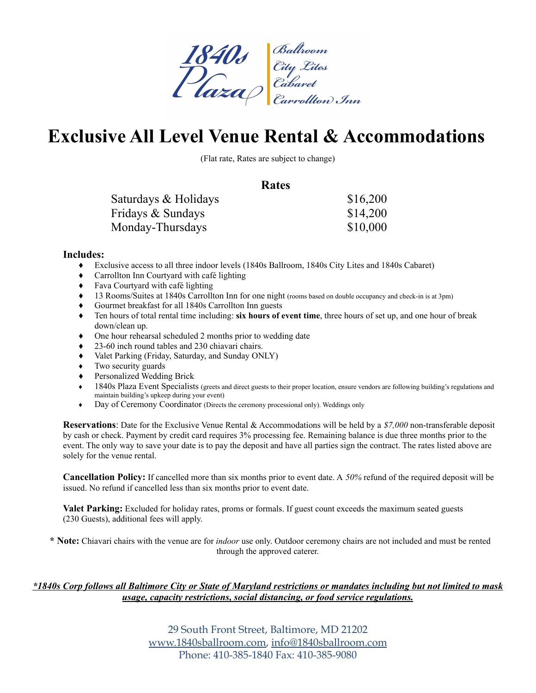

### **Exclusive All Level Venue Rental & Accommodations**

(Flat rate, Rates are subject to change)

#### **Rates**

| Saturdays & Holidays | \$16,200 |
|----------------------|----------|
| Fridays & Sundays    | \$14,200 |
| Monday-Thursdays     | \$10,000 |

#### **Includes:**

- ♦ Exclusive access to all three indoor levels (1840s Ballroom, 1840s City Lites and 1840s Cabaret)
- ♦ Carrollton Inn Courtyard with café lighting
- ♦ Fava Courtyard with café lighting
- ♦ 13 Rooms/Suites at 1840s Carrollton Inn for one night (rooms based on double occupancy and check-in is at 3pm)
- ♦ Gourmet breakfast for all 1840s Carrollton Inn guests
- ♦ Ten hours of total rental time including: **six hours of event time**, three hours of set up, and one hour of break down/clean up.
- ♦ One hour rehearsal scheduled 2 months prior to wedding date
- ♦ 23-60 inch round tables and 230 chiavari chairs.
- ♦ Valet Parking (Friday, Saturday, and Sunday ONLY)
- ♦ Two security guards
- ♦ Personalized Wedding Brick
- 1840s Plaza Event Specialists (greets and direct guests to their proper location, ensure vendors are following building's regulations and maintain building's upkeep during your event)
- ♦ Day of Ceremony Coordinator (Directs the ceremony processional only). Weddings only

**Reservations**: Date for the Exclusive Venue Rental & Accommodations will be held by a *\$7,000* non-transferable deposit by cash or check. Payment by credit card requires 3% processing fee. Remaining balance is due three months prior to the event. The only way to save your date is to pay the deposit and have all parties sign the contract. The rates listed above are solely for the venue rental.

**Cancellation Policy:** If cancelled more than six months prior to event date. A *50%* refund of the required deposit will be issued. No refund if cancelled less than six months prior to event date.

**Valet Parking:** Excluded for holiday rates, proms or formals. If guest count exceeds the maximum seated guests (230 Guests), additional fees will apply.

**\* Note:** Chiavari chairs with the venue are for *indoor* use only. Outdoor ceremony chairs are not included and must be rented through the approved caterer.

#### \*1840s Corp follows all Baltimore City or State of Maryland restrictions or mandates including but not limited to mask *usage, capacity restrictions, social distancing, or food service regulations.*

29 South Front Street, Baltimore, MD 21202 [www.1840sballroom.com,](http://www.1840sballroom.com) [info@1840sballroom.com](mailto:info@1840sballroom.com) Phone: 410-385-1840 Fax: 410-385-9080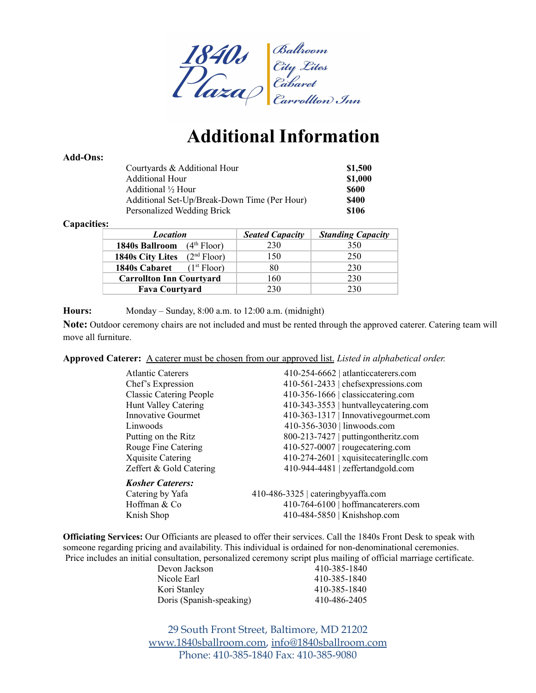

## **Additional Information**

#### **Add-Ons:**

| Courtyards & Additional Hour                 | \$1,500 |
|----------------------------------------------|---------|
| Additional Hour                              | \$1,000 |
| Additional ½ Hour                            | \$600   |
| Additional Set-Up/Break-Down Time (Per Hour) | \$400   |
| Personalized Wedding Brick                   | \$106   |

#### **Capacities:**

| <b>Location</b>                                    | <b>Seated Capacity</b> | <b>Standing Capacity</b> |
|----------------------------------------------------|------------------------|--------------------------|
| (4 <sup>th</sup> Floor)<br>1840s Ballroom          | 230                    | 350                      |
| (2 <sup>nd</sup> Floor)<br><b>1840s City Lites</b> | 150                    | 250                      |
| (1 <sup>st</sup> Floor)<br>1840s Cabaret           | 80                     | 230                      |
| <b>Carrollton Inn Courtyard</b>                    | 160                    | 230                      |
| <b>Fava Courtyard</b>                              | 230                    | 230                      |

#### **Hours:** Monday – Sunday, 8:00 a.m. to 12:00 a.m. (midnight)

**Note:** Outdoor ceremony chairs are not included and must be rented through the approved caterer. Catering team will move all furniture.

**Approved Caterer:** A caterer must be chosen from our approved list. *Listed in alphabetical order.*

| <b>Atlantic Caterers</b>       | 410-254-6662   atlanticcaterers.com    |
|--------------------------------|----------------------------------------|
| Chef's Expression              | 410-561-2433   chefsexpressions.com    |
| <b>Classic Catering People</b> | 410-356-1666   classiccatering.com     |
| Hunt Valley Catering           | 410-343-3553   huntvalleycatering.com  |
| Innovative Gourmet             | 410-363-1317   Innovative gourmet.com  |
| Linwoods                       | 410-356-3030   linwoods.com            |
| Putting on the Ritz            | 800-213-7427   putting on the ritz.com |
| Rouge Fine Catering            | $410-527-0007$   rougecatering.com     |
| <b>Xquisite Catering</b>       | 410-274-2601   xquisitecateringllc.com |
| Zeffert & Gold Catering        | 410-944-4481   zeffertandgold.com      |
| <b>Kosher Caterers:</b>        |                                        |
| Catering by Yafa               | $410-486-3325$   cateringbyyaffa.com   |
| Hoffman & Co                   | 410-764-6100   hoffmancaterers.com     |
| Knish Shop                     | 410-484-5850   Knishshop.com           |
|                                |                                        |

**Officiating Services:** Our Officiants are pleased to offer their services. Call the 1840s Front Desk to speak with someone regarding pricing and availability. This individual is ordained for non-denominational ceremonies. Price includes an initial consultation, personalized ceremony script plus mailing of official marriage certificate.

| Devon Jackson            |  | 410-385-1840 |
|--------------------------|--|--------------|
| Nicole Earl              |  | 410-385-1840 |
| Kori Stanley             |  | 410-385-1840 |
| Doris (Spanish-speaking) |  | 410-486-2405 |
|                          |  |              |

29 South Front Street, Baltimore, MD 21202 [www.1840sballroom.com,](http://www.1840sballroom.com) [info@1840sballroom.com](mailto:info@1840sballroom.com) Phone: 410-385-1840 Fax: 410-385-9080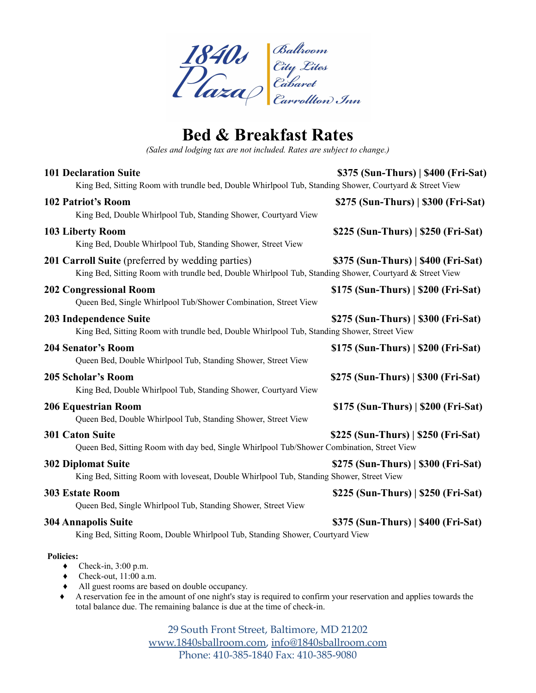

### **Bed & Breakfast Rates**

*(Sales and lodging tax are not included. Rates are subject to change.)*

| <b>101 Declaration Suite</b><br>King Bed, Sitting Room with trundle bed, Double Whirlpool Tub, Standing Shower, Courtyard & Street View                                                                                                                                                                                              | \$375 (Sun-Thurs)   \$400 (Fri-Sat) |
|--------------------------------------------------------------------------------------------------------------------------------------------------------------------------------------------------------------------------------------------------------------------------------------------------------------------------------------|-------------------------------------|
| <b>102 Patriot's Room</b><br>King Bed, Double Whirlpool Tub, Standing Shower, Courtyard View                                                                                                                                                                                                                                         | \$275 (Sun-Thurs)   \$300 (Fri-Sat) |
| 103 Liberty Room<br>King Bed, Double Whirlpool Tub, Standing Shower, Street View                                                                                                                                                                                                                                                     | \$225 (Sun-Thurs)   \$250 (Fri-Sat) |
| 201 Carroll Suite (preferred by wedding parties)<br>King Bed, Sitting Room with trundle bed, Double Whirlpool Tub, Standing Shower, Courtyard & Street View                                                                                                                                                                          | \$375 (Sun-Thurs)   \$400 (Fri-Sat) |
| <b>202 Congressional Room</b><br>Queen Bed, Single Whirlpool Tub/Shower Combination, Street View                                                                                                                                                                                                                                     | \$175 (Sun-Thurs)   \$200 (Fri-Sat) |
| 203 Independence Suite<br>King Bed, Sitting Room with trundle bed, Double Whirlpool Tub, Standing Shower, Street View                                                                                                                                                                                                                | \$275 (Sun-Thurs)   \$300 (Fri-Sat) |
| <b>204 Senator's Room</b><br>Queen Bed, Double Whirlpool Tub, Standing Shower, Street View                                                                                                                                                                                                                                           | \$175 (Sun-Thurs)   \$200 (Fri-Sat) |
| <b>205 Scholar's Room</b><br>King Bed, Double Whirlpool Tub, Standing Shower, Courtyard View                                                                                                                                                                                                                                         | \$275 (Sun-Thurs)   \$300 (Fri-Sat) |
| <b>206 Equestrian Room</b><br>Queen Bed, Double Whirlpool Tub, Standing Shower, Street View                                                                                                                                                                                                                                          | \$175 (Sun-Thurs)   \$200 (Fri-Sat) |
| <b>301 Caton Suite</b><br>Queen Bed, Sitting Room with day bed, Single Whirlpool Tub/Shower Combination, Street View                                                                                                                                                                                                                 | \$225 (Sun-Thurs)   \$250 (Fri-Sat) |
| <b>302 Diplomat Suite</b><br>King Bed, Sitting Room with loveseat, Double Whirlpool Tub, Standing Shower, Street View                                                                                                                                                                                                                | \$275 (Sun-Thurs)   \$300 (Fri-Sat) |
| <b>303 Estate Room</b><br>Queen Bed, Single Whirlpool Tub, Standing Shower, Street View                                                                                                                                                                                                                                              | \$225 (Sun-Thurs)   \$250 (Fri-Sat) |
| <b>304 Annapolis Suite</b><br>King Bed, Sitting Room, Double Whirlpool Tub, Standing Shower, Courtyard View                                                                                                                                                                                                                          | \$375 (Sun-Thurs)   \$400 (Fri-Sat) |
| <b>Policies:</b><br>Check-in, 3:00 p.m.<br>٠<br>Check-out, 11:00 a.m.<br>٠<br>All guest rooms are based on double occupancy.<br>٠<br>A reservation fee in the amount of one night's stay is required to confirm your reservation and applies towards the<br>total balance due. The remaining balance is due at the time of check-in. |                                     |

29 South Front Street, Baltimore, MD 21202 [www.1840sballroom.com,](http://www.1840sballroom.com) [info@1840sballroom.com](mailto:info@1840sballroom.com) Phone: 410-385-1840 Fax: 410-385-9080